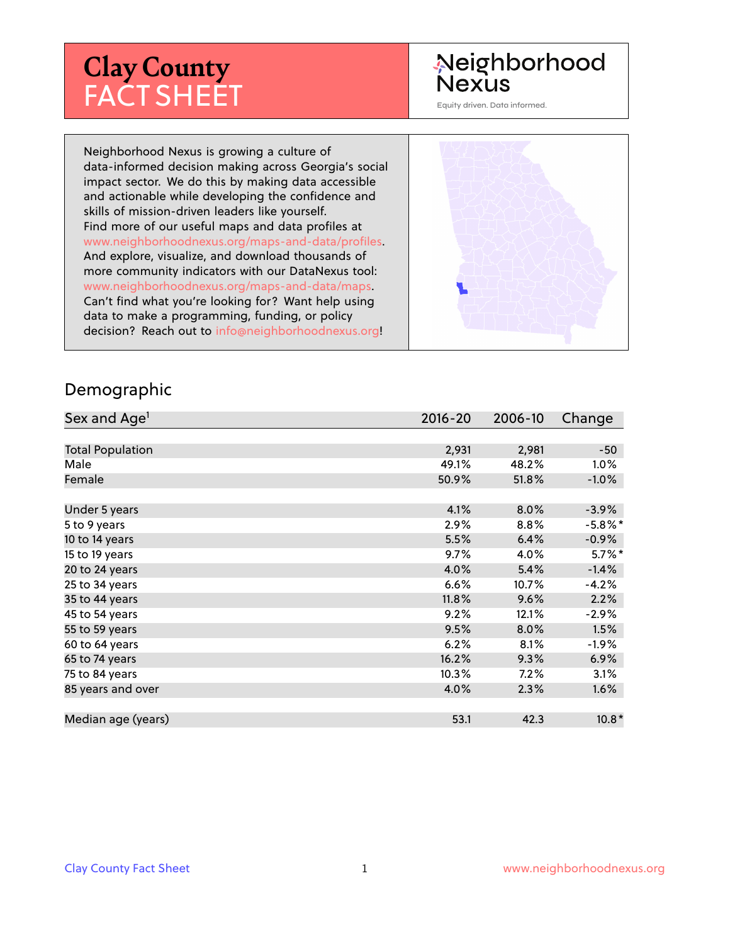# **Clay County** FACT SHEET

# Neighborhood **Nexus**

Equity driven. Data informed.

Neighborhood Nexus is growing a culture of data-informed decision making across Georgia's social impact sector. We do this by making data accessible and actionable while developing the confidence and skills of mission-driven leaders like yourself. Find more of our useful maps and data profiles at www.neighborhoodnexus.org/maps-and-data/profiles. And explore, visualize, and download thousands of more community indicators with our DataNexus tool: www.neighborhoodnexus.org/maps-and-data/maps. Can't find what you're looking for? Want help using data to make a programming, funding, or policy decision? Reach out to [info@neighborhoodnexus.org!](mailto:info@neighborhoodnexus.org)



#### Demographic

| Sex and Age <sup>1</sup> | $2016 - 20$ | 2006-10 | Change     |
|--------------------------|-------------|---------|------------|
|                          |             |         |            |
| <b>Total Population</b>  | 2,931       | 2,981   | $-50$      |
| Male                     | 49.1%       | 48.2%   | $1.0\%$    |
| Female                   | 50.9%       | 51.8%   | $-1.0\%$   |
|                          |             |         |            |
| Under 5 years            | 4.1%        | 8.0%    | $-3.9%$    |
| 5 to 9 years             | 2.9%        | $8.8\%$ | $-5.8\%$ * |
| 10 to 14 years           | 5.5%        | 6.4%    | $-0.9\%$   |
| 15 to 19 years           | 9.7%        | 4.0%    | $5.7\%$ *  |
| 20 to 24 years           | 4.0%        | 5.4%    | $-1.4%$    |
| 25 to 34 years           | 6.6%        | 10.7%   | $-4.2%$    |
| 35 to 44 years           | 11.8%       | 9.6%    | 2.2%       |
| 45 to 54 years           | 9.2%        | 12.1%   | $-2.9%$    |
| 55 to 59 years           | 9.5%        | $8.0\%$ | 1.5%       |
| 60 to 64 years           | 6.2%        | 8.1%    | $-1.9\%$   |
| 65 to 74 years           | 16.2%       | 9.3%    | 6.9%       |
| 75 to 84 years           | 10.3%       | 7.2%    | 3.1%       |
| 85 years and over        | 4.0%        | 2.3%    | 1.6%       |
|                          |             |         |            |
| Median age (years)       | 53.1        | 42.3    | $10.8*$    |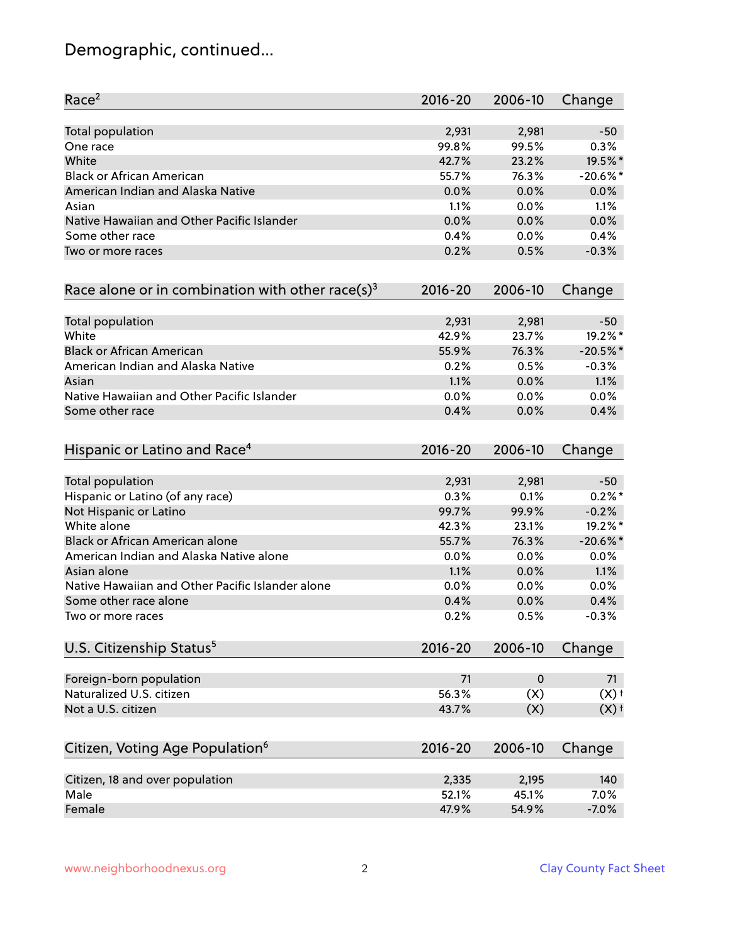# Demographic, continued...

| Race <sup>2</sup>                                            | 2016-20     | 2006-10     | Change             |
|--------------------------------------------------------------|-------------|-------------|--------------------|
| <b>Total population</b>                                      | 2,931       | 2,981       | $-50$              |
| One race                                                     | 99.8%       | 99.5%       | 0.3%               |
| White                                                        | 42.7%       | 23.2%       | 19.5%*             |
| <b>Black or African American</b>                             | 55.7%       | 76.3%       | $-20.6%$ *         |
| American Indian and Alaska Native                            | 0.0%        | 0.0%        | 0.0%               |
| Asian                                                        | 1.1%        | 0.0%        | 1.1%               |
| Native Hawaiian and Other Pacific Islander                   | 0.0%        | 0.0%        | 0.0%               |
| Some other race                                              | 0.4%        | 0.0%        | 0.4%               |
| Two or more races                                            | 0.2%        | 0.5%        | $-0.3%$            |
| Race alone or in combination with other race(s) <sup>3</sup> | $2016 - 20$ | 2006-10     | Change             |
| Total population                                             | 2,931       | 2,981       | $-50$              |
| White                                                        | 42.9%       | 23.7%       | 19.2%*             |
| <b>Black or African American</b>                             | 55.9%       | 76.3%       | $-20.5%$           |
| American Indian and Alaska Native                            | 0.2%        | 0.5%        | $-0.3%$            |
| Asian                                                        | 1.1%        | 0.0%        | 1.1%               |
| Native Hawaiian and Other Pacific Islander                   | 0.0%        | 0.0%        | 0.0%               |
| Some other race                                              | 0.4%        | 0.0%        | 0.4%               |
| Hispanic or Latino and Race <sup>4</sup>                     | $2016 - 20$ | 2006-10     | Change             |
| <b>Total population</b>                                      | 2,931       | 2,981       | $-50$              |
| Hispanic or Latino (of any race)                             | 0.3%        | 0.1%        | $0.2\%$ *          |
| Not Hispanic or Latino                                       | 99.7%       | 99.9%       | $-0.2%$            |
| White alone                                                  | 42.3%       | 23.1%       | 19.2%*             |
| Black or African American alone                              | 55.7%       | 76.3%       | $-20.6%$ *         |
| American Indian and Alaska Native alone                      | 0.0%        | 0.0%        | 0.0%               |
| Asian alone                                                  | 1.1%        | 0.0%        | 1.1%               |
| Native Hawaiian and Other Pacific Islander alone             | 0.0%        | 0.0%        | 0.0%               |
| Some other race alone                                        | 0.4%        | 0.0%        | 0.4%               |
| Two or more races                                            | 0.2%        | 0.5%        | $-0.3%$            |
| U.S. Citizenship Status <sup>5</sup>                         | $2016 - 20$ | 2006-10     | Change             |
| Foreign-born population                                      | 71          | $\mathbf 0$ | 71                 |
| Naturalized U.S. citizen                                     | 56.3%       | (X)         | $(X)$ <sup>+</sup> |
| Not a U.S. citizen                                           | 43.7%       | (X)         | $(X)$ <sup>+</sup> |
| Citizen, Voting Age Population <sup>6</sup>                  | $2016 - 20$ | 2006-10     | Change             |
| Citizen, 18 and over population                              | 2,335       | 2,195       | 140                |
| Male                                                         | 52.1%       | 45.1%       | 7.0%               |
| Female                                                       | 47.9%       | 54.9%       | $-7.0%$            |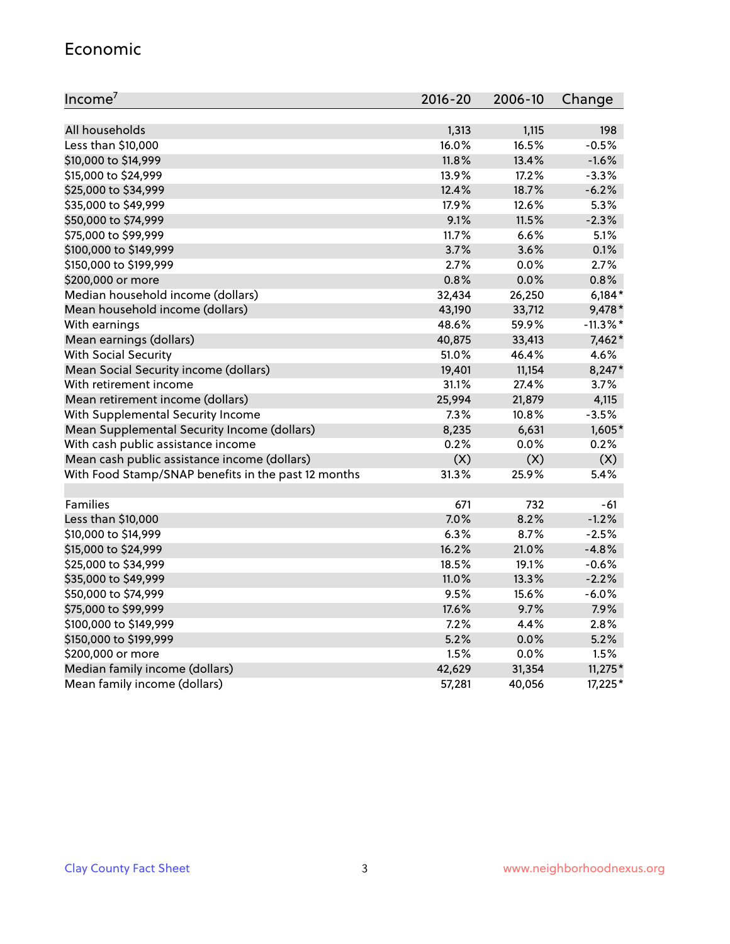#### Economic

| Income <sup>7</sup>                                 | $2016 - 20$ | 2006-10 | Change      |
|-----------------------------------------------------|-------------|---------|-------------|
|                                                     |             |         |             |
| All households                                      | 1,313       | 1,115   | 198         |
| Less than \$10,000                                  | 16.0%       | 16.5%   | $-0.5%$     |
| \$10,000 to \$14,999                                | 11.8%       | 13.4%   | $-1.6%$     |
| \$15,000 to \$24,999                                | 13.9%       | 17.2%   | $-3.3%$     |
| \$25,000 to \$34,999                                | 12.4%       | 18.7%   | $-6.2%$     |
| \$35,000 to \$49,999                                | 17.9%       | 12.6%   | 5.3%        |
| \$50,000 to \$74,999                                | 9.1%        | 11.5%   | $-2.3%$     |
| \$75,000 to \$99,999                                | 11.7%       | 6.6%    | 5.1%        |
| \$100,000 to \$149,999                              | 3.7%        | 3.6%    | 0.1%        |
| \$150,000 to \$199,999                              | 2.7%        | 0.0%    | 2.7%        |
| \$200,000 or more                                   | 0.8%        | 0.0%    | 0.8%        |
| Median household income (dollars)                   | 32,434      | 26,250  | $6,184*$    |
| Mean household income (dollars)                     | 43,190      | 33,712  | 9,478*      |
| With earnings                                       | 48.6%       | 59.9%   | $-11.3\%$ * |
| Mean earnings (dollars)                             | 40,875      | 33,413  | 7,462*      |
| <b>With Social Security</b>                         | 51.0%       | 46.4%   | 4.6%        |
| Mean Social Security income (dollars)               | 19,401      | 11,154  | 8,247*      |
| With retirement income                              | 31.1%       | 27.4%   | 3.7%        |
| Mean retirement income (dollars)                    | 25,994      | 21,879  | 4,115       |
| With Supplemental Security Income                   | $7.3\%$     | 10.8%   | $-3.5%$     |
| Mean Supplemental Security Income (dollars)         | 8,235       | 6,631   | 1,605*      |
| With cash public assistance income                  | 0.2%        | 0.0%    | 0.2%        |
| Mean cash public assistance income (dollars)        | (X)         | (X)     | (X)         |
| With Food Stamp/SNAP benefits in the past 12 months | 31.3%       | 25.9%   | 5.4%        |
|                                                     |             |         |             |
| Families                                            | 671         | 732     | $-61$       |
| Less than \$10,000                                  | 7.0%        | 8.2%    | $-1.2%$     |
| \$10,000 to \$14,999                                | 6.3%        | 8.7%    | $-2.5%$     |
| \$15,000 to \$24,999                                | 16.2%       | 21.0%   | $-4.8%$     |
| \$25,000 to \$34,999                                | 18.5%       | 19.1%   | $-0.6%$     |
| \$35,000 to \$49,999                                | 11.0%       | 13.3%   | $-2.2%$     |
| \$50,000 to \$74,999                                | 9.5%        | 15.6%   | $-6.0%$     |
| \$75,000 to \$99,999                                | 17.6%       | 9.7%    | 7.9%        |
| \$100,000 to \$149,999                              | $7.2\%$     | 4.4%    | 2.8%        |
| \$150,000 to \$199,999                              | 5.2%        | 0.0%    | 5.2%        |
| \$200,000 or more                                   | 1.5%        | 0.0%    | 1.5%        |
| Median family income (dollars)                      | 42,629      | 31,354  | $11,275*$   |
| Mean family income (dollars)                        | 57,281      | 40,056  | 17,225*     |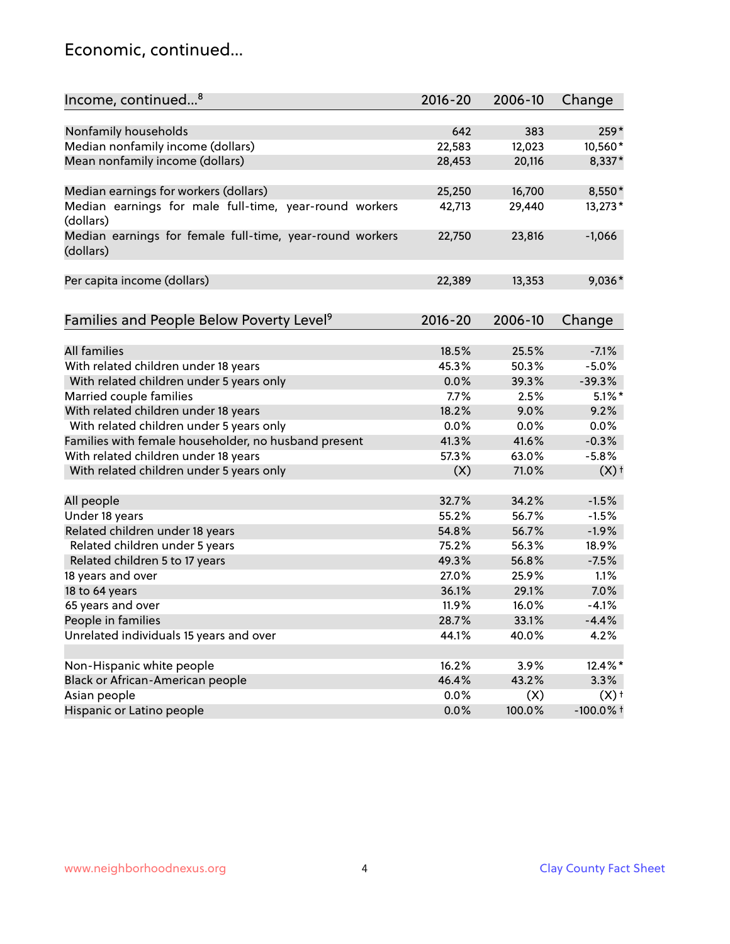### Economic, continued...

| Income, continued <sup>8</sup>                                        | $2016 - 20$ | 2006-10 | Change             |
|-----------------------------------------------------------------------|-------------|---------|--------------------|
|                                                                       |             |         |                    |
| Nonfamily households                                                  | 642         | 383     | 259*               |
| Median nonfamily income (dollars)                                     | 22,583      | 12,023  | 10,560*            |
| Mean nonfamily income (dollars)                                       | 28,453      | 20,116  | 8,337*             |
| Median earnings for workers (dollars)                                 | 25,250      | 16,700  | 8,550*             |
| Median earnings for male full-time, year-round workers                | 42,713      | 29,440  | 13,273*            |
| (dollars)                                                             |             |         |                    |
| Median earnings for female full-time, year-round workers<br>(dollars) | 22,750      | 23,816  | $-1,066$           |
| Per capita income (dollars)                                           | 22,389      | 13,353  | $9,036*$           |
|                                                                       |             |         |                    |
| Families and People Below Poverty Level <sup>9</sup>                  | $2016 - 20$ | 2006-10 | Change             |
|                                                                       |             |         |                    |
| <b>All families</b>                                                   | 18.5%       | 25.5%   | $-7.1%$            |
| With related children under 18 years                                  | 45.3%       | 50.3%   | $-5.0%$            |
| With related children under 5 years only                              | 0.0%        | 39.3%   | $-39.3%$           |
| Married couple families                                               | 7.7%        | 2.5%    | $5.1\%$ *          |
| With related children under 18 years                                  | 18.2%       | 9.0%    | 9.2%               |
| With related children under 5 years only                              | 0.0%        | 0.0%    | 0.0%               |
| Families with female householder, no husband present                  | 41.3%       | 41.6%   | $-0.3%$            |
| With related children under 18 years                                  | 57.3%       | 63.0%   | $-5.8%$            |
| With related children under 5 years only                              | (X)         | 71.0%   | $(X)$ <sup>+</sup> |
| All people                                                            | 32.7%       | 34.2%   | $-1.5%$            |
| Under 18 years                                                        | 55.2%       | 56.7%   | $-1.5%$            |
| Related children under 18 years                                       | 54.8%       | 56.7%   | $-1.9%$            |
| Related children under 5 years                                        | 75.2%       | 56.3%   | 18.9%              |
| Related children 5 to 17 years                                        | 49.3%       | 56.8%   | $-7.5%$            |
| 18 years and over                                                     | 27.0%       | 25.9%   | 1.1%               |
| 18 to 64 years                                                        | 36.1%       | 29.1%   | 7.0%               |
| 65 years and over                                                     | 11.9%       | 16.0%   | $-4.1%$            |
| People in families                                                    | 28.7%       | 33.1%   | $-4.4%$            |
| Unrelated individuals 15 years and over                               | 44.1%       | 40.0%   | 4.2%               |
|                                                                       |             |         |                    |
| Non-Hispanic white people                                             | 16.2%       | 3.9%    | 12.4%*             |
| Black or African-American people                                      | 46.4%       | 43.2%   | 3.3%               |
| Asian people                                                          | $0.0\%$     | (X)     | $(X)$ <sup>+</sup> |
| Hispanic or Latino people                                             | 0.0%        | 100.0%  | $-100.0\%$ t       |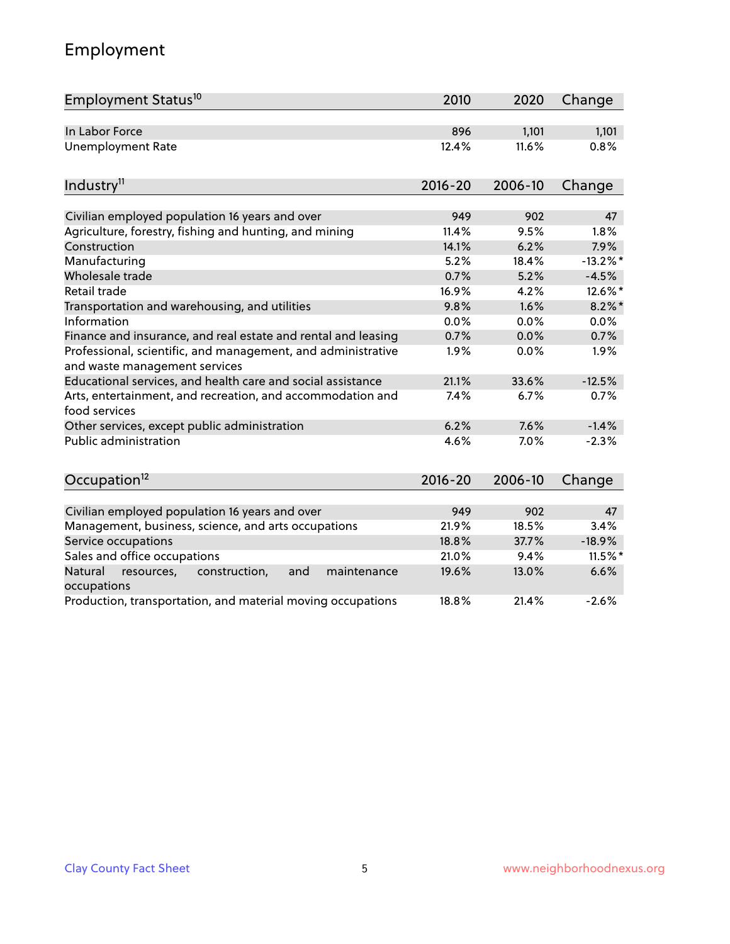# Employment

| Employment Status <sup>10</sup>                                                               | 2010        | 2020    | Change     |
|-----------------------------------------------------------------------------------------------|-------------|---------|------------|
| In Labor Force                                                                                | 896         | 1,101   | 1,101      |
| <b>Unemployment Rate</b>                                                                      | 12.4%       | 11.6%   | 0.8%       |
| Industry <sup>11</sup>                                                                        | $2016 - 20$ | 2006-10 | Change     |
| Civilian employed population 16 years and over                                                | 949         | 902     | 47         |
| Agriculture, forestry, fishing and hunting, and mining                                        | 11.4%       | 9.5%    | 1.8%       |
| Construction                                                                                  | 14.1%       | 6.2%    | 7.9%       |
| Manufacturing                                                                                 | 5.2%        | 18.4%   | $-13.2%$ * |
| Wholesale trade                                                                               | 0.7%        | 5.2%    | $-4.5%$    |
| Retail trade                                                                                  | 16.9%       | 4.2%    | 12.6%*     |
| Transportation and warehousing, and utilities                                                 | 9.8%        | 1.6%    | $8.2\%$ *  |
| Information                                                                                   | 0.0%        | 0.0%    | 0.0%       |
| Finance and insurance, and real estate and rental and leasing                                 | 0.7%        | 0.0%    | 0.7%       |
| Professional, scientific, and management, and administrative<br>and waste management services | 1.9%        | 0.0%    | 1.9%       |
| Educational services, and health care and social assistance                                   | 21.1%       | 33.6%   | $-12.5%$   |
| Arts, entertainment, and recreation, and accommodation and<br>food services                   | 7.4%        | 6.7%    | 0.7%       |
| Other services, except public administration                                                  | 6.2%        | 7.6%    | $-1.4%$    |
| <b>Public administration</b>                                                                  | 4.6%        | 7.0%    | $-2.3%$    |
| Occupation <sup>12</sup>                                                                      | $2016 - 20$ | 2006-10 | Change     |
|                                                                                               |             |         |            |
| Civilian employed population 16 years and over                                                | 949         | 902     | 47         |
| Management, business, science, and arts occupations                                           | 21.9%       | 18.5%   | 3.4%       |
| Service occupations                                                                           | 18.8%       | 37.7%   | $-18.9%$   |
| Sales and office occupations                                                                  | 21.0%       | 9.4%    | 11.5%*     |
| Natural<br>resources,<br>construction,<br>and<br>maintenance<br>occupations                   | 19.6%       | 13.0%   | 6.6%       |
| Production, transportation, and material moving occupations                                   | 18.8%       | 21.4%   | $-2.6%$    |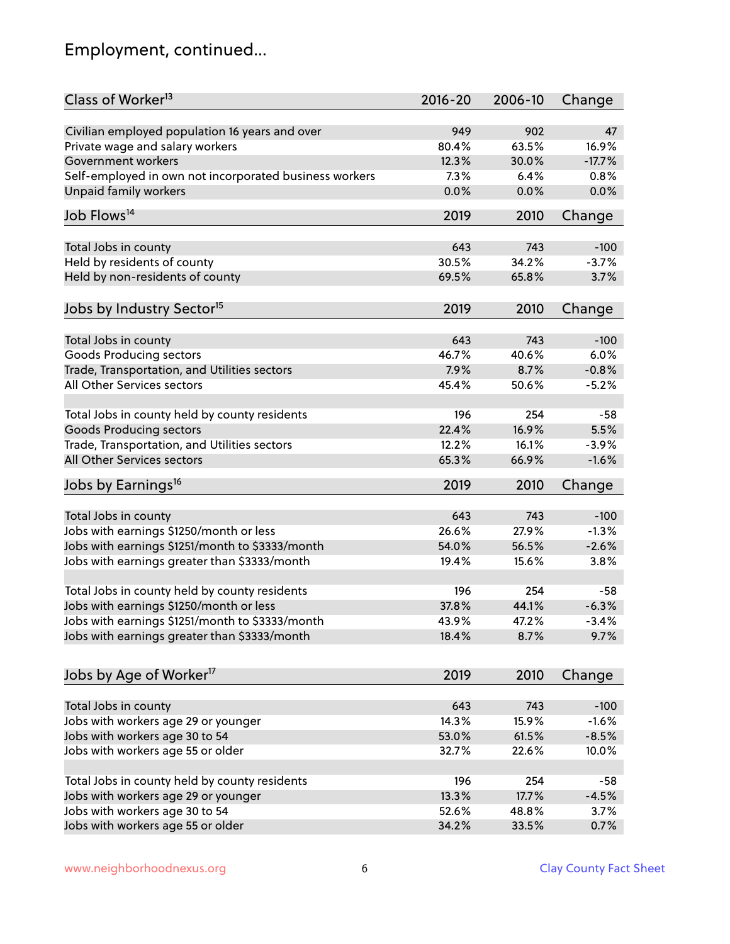# Employment, continued...

| Class of Worker <sup>13</sup>                                              | $2016 - 20$ | 2006-10 | Change   |
|----------------------------------------------------------------------------|-------------|---------|----------|
| Civilian employed population 16 years and over                             | 949         | 902     | 47       |
| Private wage and salary workers                                            | 80.4%       | 63.5%   | 16.9%    |
| Government workers                                                         | 12.3%       | 30.0%   | $-17.7%$ |
| Self-employed in own not incorporated business workers                     | 7.3%        | 6.4%    | 0.8%     |
| <b>Unpaid family workers</b>                                               | 0.0%        | 0.0%    | 0.0%     |
|                                                                            |             |         |          |
| Job Flows <sup>14</sup>                                                    | 2019        | 2010    | Change   |
| Total Jobs in county                                                       | 643         | 743     | $-100$   |
| Held by residents of county                                                | 30.5%       | 34.2%   | $-3.7%$  |
| Held by non-residents of county                                            | 69.5%       | 65.8%   | 3.7%     |
|                                                                            |             |         |          |
| Jobs by Industry Sector <sup>15</sup>                                      | 2019        | 2010    | Change   |
|                                                                            | 643         | 743     | $-100$   |
| Total Jobs in county                                                       | 46.7%       | 40.6%   | 6.0%     |
| Goods Producing sectors                                                    | 7.9%        |         | $-0.8%$  |
| Trade, Transportation, and Utilities sectors<br>All Other Services sectors |             | 8.7%    |          |
|                                                                            | 45.4%       | 50.6%   | $-5.2%$  |
| Total Jobs in county held by county residents                              | 196         | 254     | $-58$    |
| <b>Goods Producing sectors</b>                                             | 22.4%       | 16.9%   | 5.5%     |
| Trade, Transportation, and Utilities sectors                               | 12.2%       | 16.1%   | $-3.9%$  |
| All Other Services sectors                                                 | 65.3%       | 66.9%   | $-1.6%$  |
|                                                                            | 2019        | 2010    |          |
| Jobs by Earnings <sup>16</sup>                                             |             |         | Change   |
| Total Jobs in county                                                       | 643         | 743     | $-100$   |
| Jobs with earnings \$1250/month or less                                    | 26.6%       | 27.9%   | $-1.3%$  |
| Jobs with earnings \$1251/month to \$3333/month                            | 54.0%       | 56.5%   | $-2.6%$  |
| Jobs with earnings greater than \$3333/month                               | 19.4%       | 15.6%   | 3.8%     |
|                                                                            |             |         |          |
| Total Jobs in county held by county residents                              | 196         | 254     | -58      |
| Jobs with earnings \$1250/month or less                                    | 37.8%       | 44.1%   | $-6.3%$  |
| Jobs with earnings \$1251/month to \$3333/month                            | 43.9%       | 47.2%   | -3.4%    |
| Jobs with earnings greater than \$3333/month                               | 18.4%       | 8.7%    | 9.7%     |
|                                                                            |             |         |          |
| Jobs by Age of Worker <sup>17</sup>                                        | 2019        | 2010    | Change   |
| Total Jobs in county                                                       | 643         | 743     | $-100$   |
| Jobs with workers age 29 or younger                                        | 14.3%       | 15.9%   | $-1.6%$  |
| Jobs with workers age 30 to 54                                             | 53.0%       | 61.5%   | $-8.5%$  |
| Jobs with workers age 55 or older                                          | 32.7%       | 22.6%   | 10.0%    |
|                                                                            |             |         |          |
| Total Jobs in county held by county residents                              | 196         | 254     | $-58$    |
| Jobs with workers age 29 or younger                                        | 13.3%       | 17.7%   | $-4.5%$  |
| Jobs with workers age 30 to 54                                             | 52.6%       | 48.8%   | 3.7%     |
| Jobs with workers age 55 or older                                          | 34.2%       | 33.5%   | 0.7%     |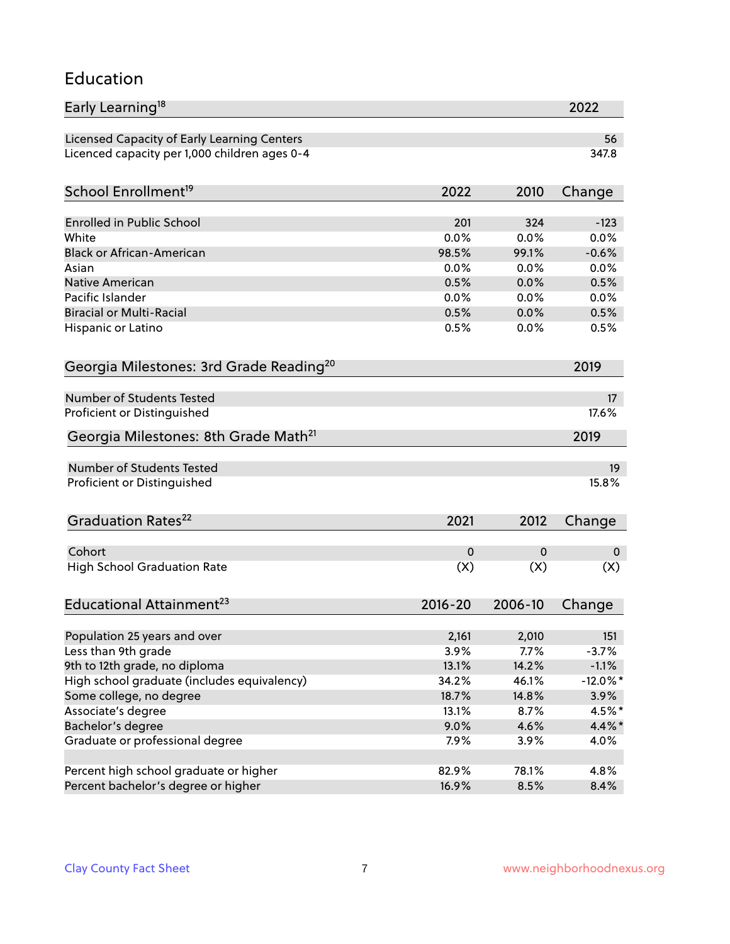#### Education

| Early Learning <sup>18</sup>                        |             |         | 2022        |
|-----------------------------------------------------|-------------|---------|-------------|
| Licensed Capacity of Early Learning Centers         |             |         | 56          |
| Licenced capacity per 1,000 children ages 0-4       |             |         | 347.8       |
| School Enrollment <sup>19</sup>                     | 2022        | 2010    | Change      |
|                                                     |             |         |             |
| <b>Enrolled in Public School</b>                    | 201         | 324     | $-123$      |
| White                                               | 0.0%        | 0.0%    | 0.0%        |
| <b>Black or African-American</b>                    | 98.5%       | 99.1%   | $-0.6%$     |
| Asian                                               | 0.0%        | 0.0%    | 0.0%        |
| <b>Native American</b>                              | 0.5%        | 0.0%    | 0.5%        |
| Pacific Islander                                    | 0.0%        | 0.0%    | 0.0%        |
| <b>Biracial or Multi-Racial</b>                     | 0.5%        | 0.0%    | 0.5%        |
| Hispanic or Latino                                  | 0.5%        | 0.0%    | 0.5%        |
| Georgia Milestones: 3rd Grade Reading <sup>20</sup> |             |         | 2019        |
| Number of Students Tested                           |             |         | 17          |
| Proficient or Distinguished                         |             |         | 17.6%       |
| Georgia Milestones: 8th Grade Math <sup>21</sup>    |             |         | 2019        |
|                                                     |             |         |             |
| <b>Number of Students Tested</b>                    |             |         | 19          |
| Proficient or Distinguished                         |             |         | 15.8%       |
| Graduation Rates <sup>22</sup>                      | 2021        | 2012    | Change      |
| Cohort                                              |             |         |             |
|                                                     | 0           | 0       | 0           |
| <b>High School Graduation Rate</b>                  | (X)         | (X)     | (X)         |
| Educational Attainment <sup>23</sup>                | $2016 - 20$ | 2006-10 | Change      |
| Population 25 years and over                        | 2,161       | 2,010   | 151         |
| Less than 9th grade                                 | 3.9%        | 7.7%    | $-3.7%$     |
| 9th to 12th grade, no diploma                       | 13.1%       | 14.2%   | $-1.1%$     |
| High school graduate (includes equivalency)         | 34.2%       | 46.1%   | $-12.0\%$ * |
| Some college, no degree                             | 18.7%       | 14.8%   | 3.9%        |
| Associate's degree                                  | 13.1%       | 8.7%    | 4.5%*       |
| Bachelor's degree                                   | 9.0%        | 4.6%    | $4.4\%$ *   |
| Graduate or professional degree                     | 7.9%        | 3.9%    | 4.0%        |
|                                                     |             |         |             |
| Percent high school graduate or higher              | 82.9%       | 78.1%   | 4.8%        |
| Percent bachelor's degree or higher                 | 16.9%       | 8.5%    | 8.4%        |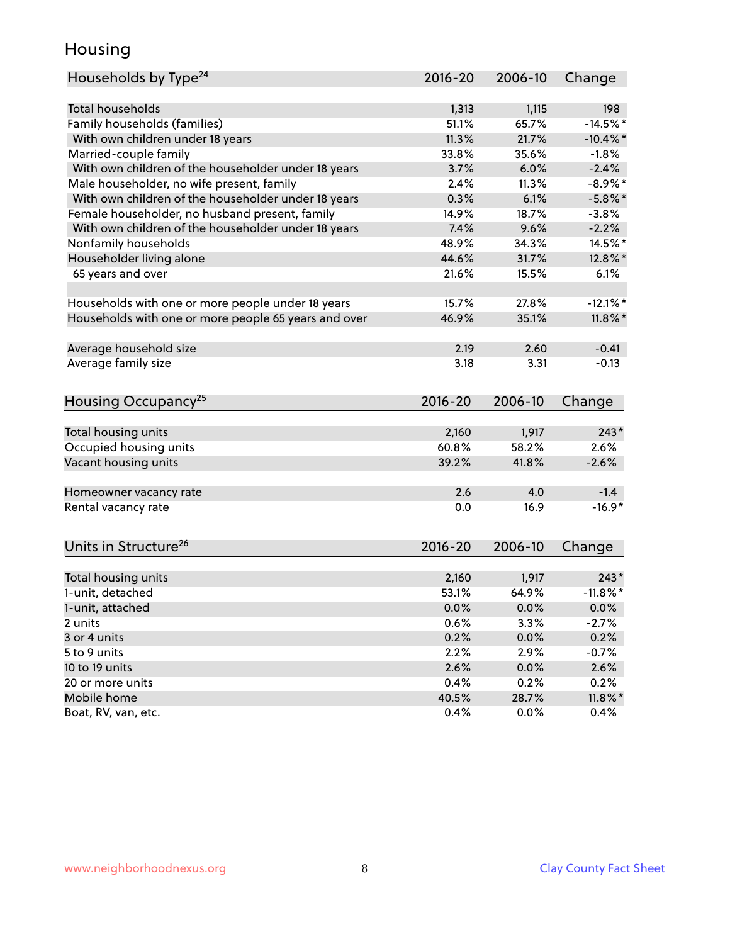### Housing

| Households by Type <sup>24</sup>                     | $2016 - 20$ | 2006-10 | Change      |
|------------------------------------------------------|-------------|---------|-------------|
|                                                      |             |         |             |
| <b>Total households</b>                              | 1,313       | 1,115   | 198         |
| Family households (families)                         | 51.1%       | 65.7%   | $-14.5%$    |
| With own children under 18 years                     | 11.3%       | 21.7%   | $-10.4\%$ * |
| Married-couple family                                | 33.8%       | 35.6%   | $-1.8%$     |
| With own children of the householder under 18 years  | 3.7%        | 6.0%    | $-2.4%$     |
| Male householder, no wife present, family            | 2.4%        | 11.3%   | $-8.9\%$ *  |
| With own children of the householder under 18 years  | 0.3%        | 6.1%    | $-5.8\%$ *  |
| Female householder, no husband present, family       | 14.9%       | 18.7%   | $-3.8%$     |
| With own children of the householder under 18 years  | 7.4%        | 9.6%    | $-2.2%$     |
| Nonfamily households                                 | 48.9%       | 34.3%   | 14.5%*      |
| Householder living alone                             | 44.6%       | 31.7%   | 12.8%*      |
| 65 years and over                                    | 21.6%       | 15.5%   | 6.1%        |
| Households with one or more people under 18 years    | 15.7%       | 27.8%   | $-12.1\%$ * |
| Households with one or more people 65 years and over | 46.9%       | 35.1%   | $11.8\%$ *  |
|                                                      |             |         |             |
| Average household size                               | 2.19        | 2.60    | $-0.41$     |
| Average family size                                  | 3.18        | 3.31    | $-0.13$     |
| Housing Occupancy <sup>25</sup>                      | $2016 - 20$ | 2006-10 | Change      |
|                                                      |             |         |             |
| Total housing units                                  | 2,160       | 1,917   | $243*$      |
| Occupied housing units                               | 60.8%       | 58.2%   | 2.6%        |
| Vacant housing units                                 | 39.2%       | 41.8%   | $-2.6%$     |
| Homeowner vacancy rate                               | 2.6         | 4.0     | $-1.4$      |
| Rental vacancy rate                                  | 0.0         | 16.9    | $-16.9*$    |
| Units in Structure <sup>26</sup>                     | 2016-20     | 2006-10 | Change      |
|                                                      |             |         |             |
| Total housing units                                  | 2,160       | 1,917   | $243*$      |
| 1-unit, detached                                     | 53.1%       | 64.9%   | $-11.8\%$ * |
| 1-unit, attached                                     | 0.0%        | 0.0%    | 0.0%        |
| 2 units                                              | 0.6%        | 3.3%    | $-2.7%$     |
| 3 or 4 units                                         | 0.2%        | 0.0%    | 0.2%        |
| 5 to 9 units                                         | 2.2%        | 2.9%    | $-0.7%$     |
| 10 to 19 units                                       | 2.6%        | 0.0%    | 2.6%        |
| 20 or more units                                     | 0.4%        | 0.2%    | 0.2%        |
| Mobile home                                          | 40.5%       | 28.7%   | $11.8\%$ *  |
| Boat, RV, van, etc.                                  | 0.4%        | 0.0%    | 0.4%        |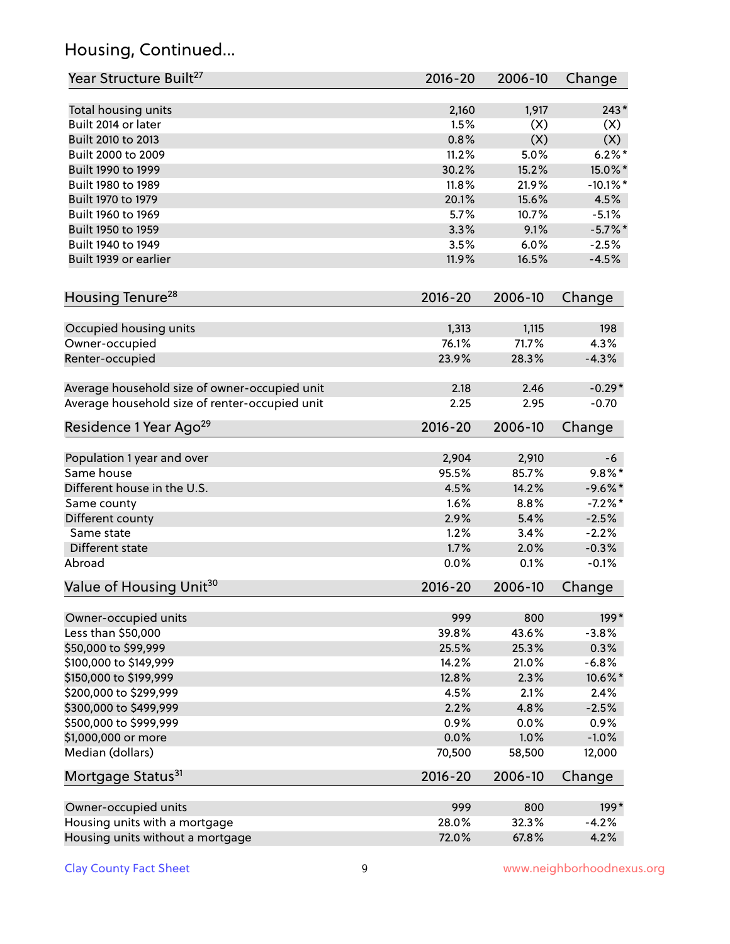# Housing, Continued...

| Year Structure Built <sup>27</sup>             | 2016-20     | 2006-10 | Change      |
|------------------------------------------------|-------------|---------|-------------|
| Total housing units                            | 2,160       | 1,917   | $243*$      |
| Built 2014 or later                            | 1.5%        | (X)     | (X)         |
| Built 2010 to 2013                             | 0.8%        | (X)     | (X)         |
| Built 2000 to 2009                             | 11.2%       | 5.0%    | $6.2\%$ *   |
| Built 1990 to 1999                             | 30.2%       | 15.2%   | 15.0%*      |
| Built 1980 to 1989                             | 11.8%       | 21.9%   | $-10.1\%$ * |
| Built 1970 to 1979                             | 20.1%       | 15.6%   | 4.5%        |
| Built 1960 to 1969                             | 5.7%        | 10.7%   | $-5.1%$     |
| Built 1950 to 1959                             | 3.3%        | 9.1%    | $-5.7\%$ *  |
| Built 1940 to 1949                             | 3.5%        | 6.0%    | $-2.5%$     |
| Built 1939 or earlier                          | 11.9%       | 16.5%   | $-4.5%$     |
|                                                |             |         |             |
| Housing Tenure <sup>28</sup>                   | $2016 - 20$ | 2006-10 | Change      |
| Occupied housing units                         | 1,313       | 1,115   | 198         |
| Owner-occupied                                 | 76.1%       | 71.7%   | 4.3%        |
| Renter-occupied                                | 23.9%       | 28.3%   | $-4.3%$     |
| Average household size of owner-occupied unit  | 2.18        | 2.46    | $-0.29*$    |
| Average household size of renter-occupied unit | 2.25        | 2.95    | $-0.70$     |
| Residence 1 Year Ago <sup>29</sup>             | 2016-20     | 2006-10 | Change      |
|                                                |             |         |             |
| Population 1 year and over                     | 2,904       | 2,910   | -6          |
| Same house                                     | 95.5%       | 85.7%   | $9.8\%$ *   |
| Different house in the U.S.                    | 4.5%        | 14.2%   | $-9.6%$ *   |
| Same county                                    | 1.6%        | 8.8%    | $-7.2%$ *   |
| Different county                               | 2.9%        | 5.4%    | $-2.5%$     |
| Same state                                     | 1.2%        | 3.4%    | $-2.2%$     |
| Different state                                | 1.7%        | 2.0%    | $-0.3%$     |
| Abroad                                         | 0.0%        | 0.1%    | $-0.1%$     |
| Value of Housing Unit <sup>30</sup>            | 2016-20     | 2006-10 | Change      |
| Owner-occupied units                           | 999         | 800     | 199*        |
| Less than \$50,000                             | 39.8%       | 43.6%   | $-3.8%$     |
| \$50,000 to \$99,999                           | 25.5%       | 25.3%   | 0.3%        |
| \$100,000 to \$149,999                         | 14.2%       | 21.0%   | $-6.8%$     |
| \$150,000 to \$199,999                         | 12.8%       | 2.3%    | 10.6%*      |
| \$200,000 to \$299,999                         | 4.5%        | 2.1%    | 2.4%        |
| \$300,000 to \$499,999                         | 2.2%        | 4.8%    | $-2.5%$     |
| \$500,000 to \$999,999                         | 0.9%        | 0.0%    | 0.9%        |
| \$1,000,000 or more                            | 0.0%        | 1.0%    | $-1.0%$     |
| Median (dollars)                               | 70,500      | 58,500  | 12,000      |
| Mortgage Status <sup>31</sup>                  | $2016 - 20$ | 2006-10 | Change      |
| Owner-occupied units                           | 999         | 800     | 199*        |
| Housing units with a mortgage                  | 28.0%       | 32.3%   | $-4.2%$     |
| Housing units without a mortgage               | 72.0%       | 67.8%   | 4.2%        |
|                                                |             |         |             |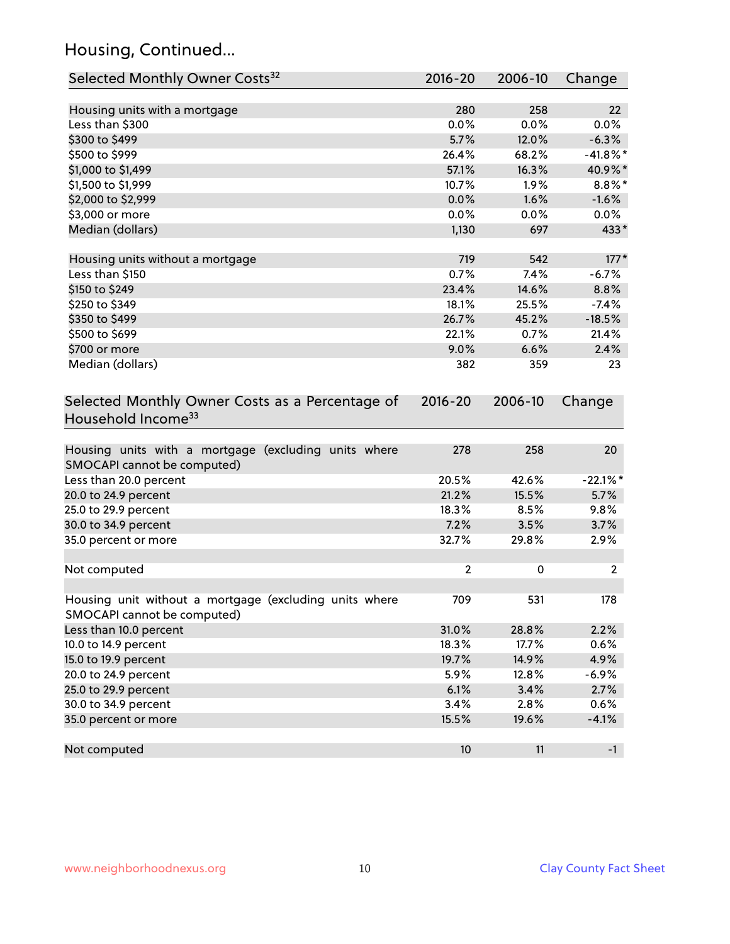# Housing, Continued...

| Selected Monthly Owner Costs <sup>32</sup>                                            | 2016-20        | 2006-10        | Change          |
|---------------------------------------------------------------------------------------|----------------|----------------|-----------------|
| Housing units with a mortgage                                                         | 280            | 258            | 22              |
| Less than \$300                                                                       | 0.0%           | 0.0%           | 0.0%            |
| \$300 to \$499                                                                        | 5.7%           | 12.0%          | $-6.3%$         |
| \$500 to \$999                                                                        | 26.4%          | 68.2%          | $-41.8\%$ *     |
| \$1,000 to \$1,499                                                                    | 57.1%          | 16.3%          | 40.9%*          |
| \$1,500 to \$1,999                                                                    | 10.7%          | 1.9%           | $8.8\%$ *       |
| \$2,000 to \$2,999                                                                    | 0.0%           | 1.6%           | $-1.6%$         |
| \$3,000 or more                                                                       | 0.0%           | 0.0%           | 0.0%            |
| Median (dollars)                                                                      | 1,130          | 697            | 433*            |
|                                                                                       |                |                |                 |
| Housing units without a mortgage                                                      | 719            | 542            | $177*$          |
| Less than \$150                                                                       | 0.7%           | 7.4%           | $-6.7%$         |
| \$150 to \$249                                                                        | 23.4%          | 14.6%          | 8.8%            |
| \$250 to \$349                                                                        | 18.1%          | 25.5%          | $-7.4%$         |
| \$350 to \$499                                                                        | 26.7%          | 45.2%          | $-18.5%$        |
| \$500 to \$699                                                                        | 22.1%          | 0.7%           | 21.4%           |
| \$700 or more                                                                         | 9.0%           | 6.6%           | 2.4%            |
| Median (dollars)                                                                      | 382            | 359            | 23              |
| Selected Monthly Owner Costs as a Percentage of<br>Household Income <sup>33</sup>     | $2016 - 20$    | 2006-10        | Change          |
| Housing units with a mortgage (excluding units where<br>SMOCAPI cannot be computed)   | 278            | 258            | 20              |
| Less than 20.0 percent                                                                | 20.5%          | 42.6%          | $-22.1%$        |
| 20.0 to 24.9 percent                                                                  | 21.2%          | 15.5%          | 5.7%            |
| 25.0 to 29.9 percent                                                                  | 18.3%          | 8.5%           | 9.8%            |
| 30.0 to 34.9 percent                                                                  | 7.2%           | 3.5%           | 3.7%            |
| 35.0 percent or more                                                                  | 32.7%          | 29.8%          | 2.9%            |
| Not computed                                                                          | $\overline{2}$ | 0              | 2               |
| Housing unit without a mortgage (excluding units where<br>SMOCAPI cannot be computed) | 709            | 531            | 178             |
| Less than 10.0 percent                                                                | 31.0%          | 28.8%          | 2.2%            |
| 10.0 to 14.9 percent                                                                  | 18.3%          | 17.7%          | 0.6%            |
|                                                                                       | 19.7%          |                |                 |
| 15.0 to 19.9 percent<br>20.0 to 24.9 percent                                          | 5.9%           | 14.9%<br>12.8% | 4.9%<br>$-6.9%$ |
| 25.0 to 29.9 percent                                                                  |                | 3.4%           |                 |
| 30.0 to 34.9 percent                                                                  | 6.1%<br>3.4%   | 2.8%           | 2.7%<br>0.6%    |
| 35.0 percent or more                                                                  | 15.5%          | 19.6%          | $-4.1%$         |
| Not computed                                                                          | 10             | 11             | $-1$            |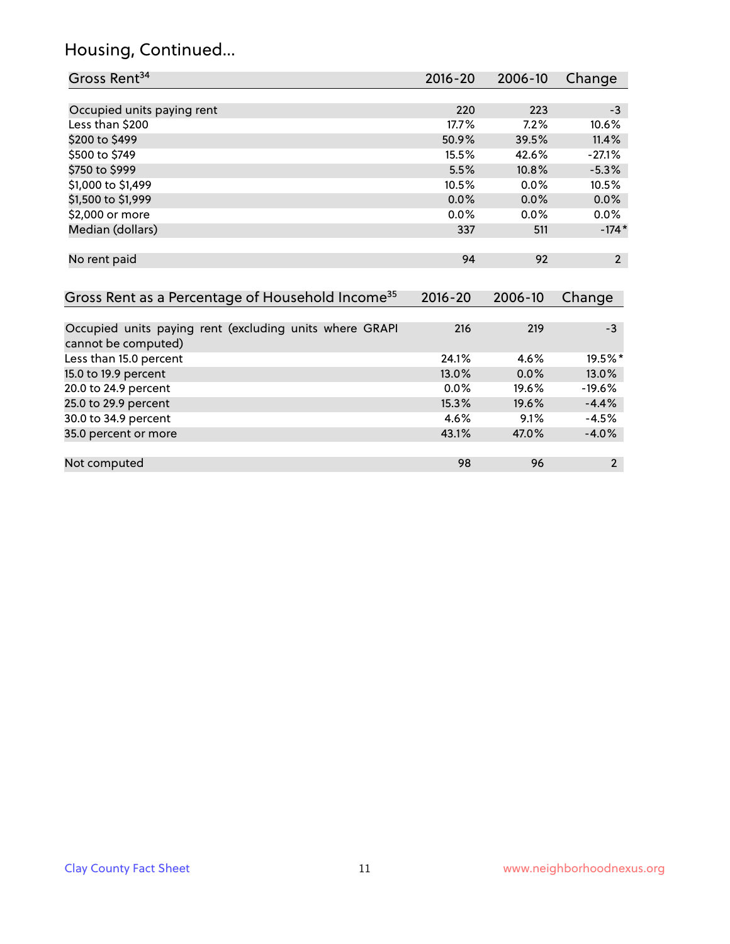#### Housing, Continued...

| Gross Rent <sup>34</sup>                                     | $2016 - 20$ | 2006-10 | Change         |
|--------------------------------------------------------------|-------------|---------|----------------|
|                                                              |             |         |                |
| Occupied units paying rent                                   | 220         | 223     | $-3$           |
| Less than \$200                                              | 17.7%       | 7.2%    | 10.6%          |
| \$200 to \$499                                               | 50.9%       | 39.5%   | 11.4%          |
| \$500 to \$749                                               | 15.5%       | 42.6%   | $-27.1%$       |
| \$750 to \$999                                               | 5.5%        | 10.8%   | $-5.3%$        |
| \$1,000 to \$1,499                                           | 10.5%       | $0.0\%$ | 10.5%          |
| \$1,500 to \$1,999                                           | 0.0%        | 0.0%    | 0.0%           |
| \$2,000 or more                                              | $0.0\%$     | $0.0\%$ | $0.0\%$        |
| Median (dollars)                                             | 337         | 511     | $-174*$        |
| No rent paid                                                 | 94          | 92      | $\overline{2}$ |
| Gross Rent as a Percentage of Household Income <sup>35</sup> | $2016 - 20$ | 2006-10 | Change         |
| Occupied units paying rent (excluding units where GRAPI      | 216         | 219     | $-3$           |
| cannot be computed)                                          |             |         |                |
| Less than 15.0 percent                                       | 24.1%       | 4.6%    | 19.5%*         |
| 15.0 to 19.9 percent                                         | 13.0%       | 0.0%    | 13.0%          |
| 20.0 to 24.9 percent                                         | $0.0\%$     | 19.6%   | $-19.6%$       |

25.0 to 29.9 percent 15.3% 19.6% -4.4% 30.0 to 34.9 percent 4.6% 9.1% -4.5%

Not computed and the set of the set of the set of the set of the set of the set of the set of the set of the set of the set of the set of the set of the set of the set of the set of the set of the set of the set of the set

20.0 to 24.9 percent 0.0% 19.6% -19.6% -19.6% -19.6% -19.6% -19.6% -19.6% -19.6% -19.6% -19.6% -19.6% -19.6% -<br>25.6 to 29.9 percent 15.3%

|  |  | <b>Clay County Fact Sheet</b> |
|--|--|-------------------------------|
|--|--|-------------------------------|

35.0 percent or more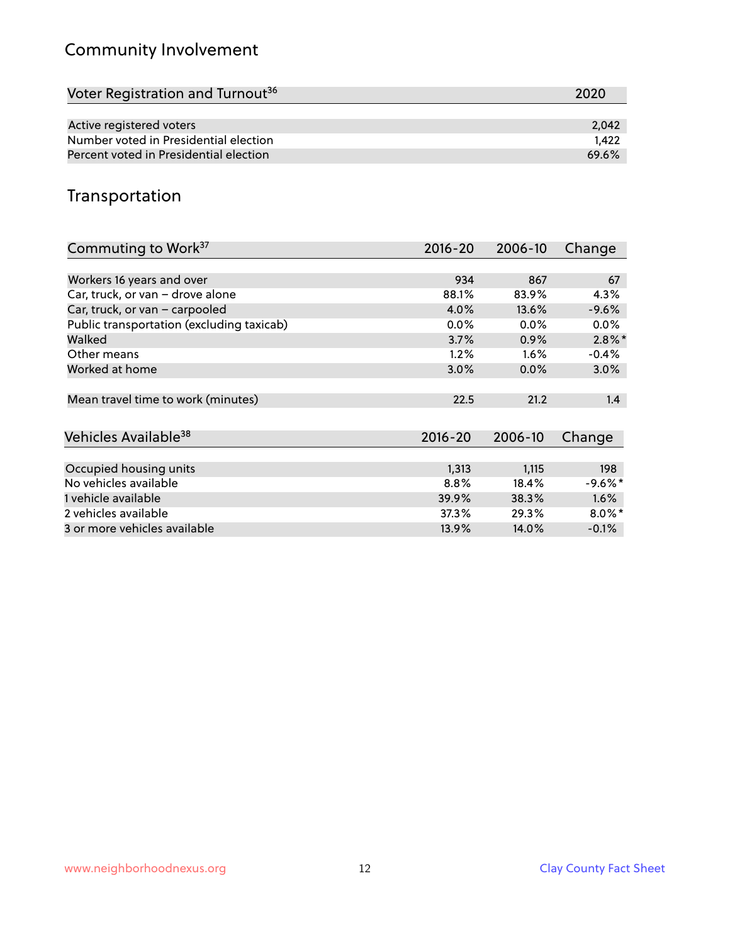# Community Involvement

| Voter Registration and Turnout <sup>36</sup> | 2020  |
|----------------------------------------------|-------|
|                                              |       |
| Active registered voters                     | 2.042 |
| Number voted in Presidential election        | 1.422 |
| Percent voted in Presidential election       | 69.6% |

## Transportation

| Commuting to Work <sup>37</sup>           | 2016-20     | 2006-10 | Change     |
|-------------------------------------------|-------------|---------|------------|
|                                           |             |         |            |
| Workers 16 years and over                 | 934         | 867     | 67         |
| Car, truck, or van - drove alone          | 88.1%       | 83.9%   | 4.3%       |
| Car, truck, or van - carpooled            | 4.0%        | 13.6%   | $-9.6%$    |
| Public transportation (excluding taxicab) | $0.0\%$     | 0.0%    | $0.0\%$    |
| Walked                                    | 3.7%        | 0.9%    | $2.8\%$ *  |
| Other means                               | 1.2%        | $1.6\%$ | $-0.4%$    |
| Worked at home                            | 3.0%        | $0.0\%$ | 3.0%       |
|                                           |             |         |            |
| Mean travel time to work (minutes)        | 22.5        | 21.2    | 1.4        |
|                                           |             |         |            |
| Vehicles Available <sup>38</sup>          | $2016 - 20$ | 2006-10 | Change     |
|                                           |             |         |            |
| Occupied housing units                    | 1,313       | 1,115   | 198        |
| No vehicles available                     | 8.8%        | 18.4%   | $-9.6\%$ * |
| 1 vehicle available                       | 39.9%       | 38.3%   | 1.6%       |
| 2 vehicles available                      | 37.3%       | 29.3%   | $8.0\%$ *  |
| 3 or more vehicles available              | 13.9%       | 14.0%   | $-0.1%$    |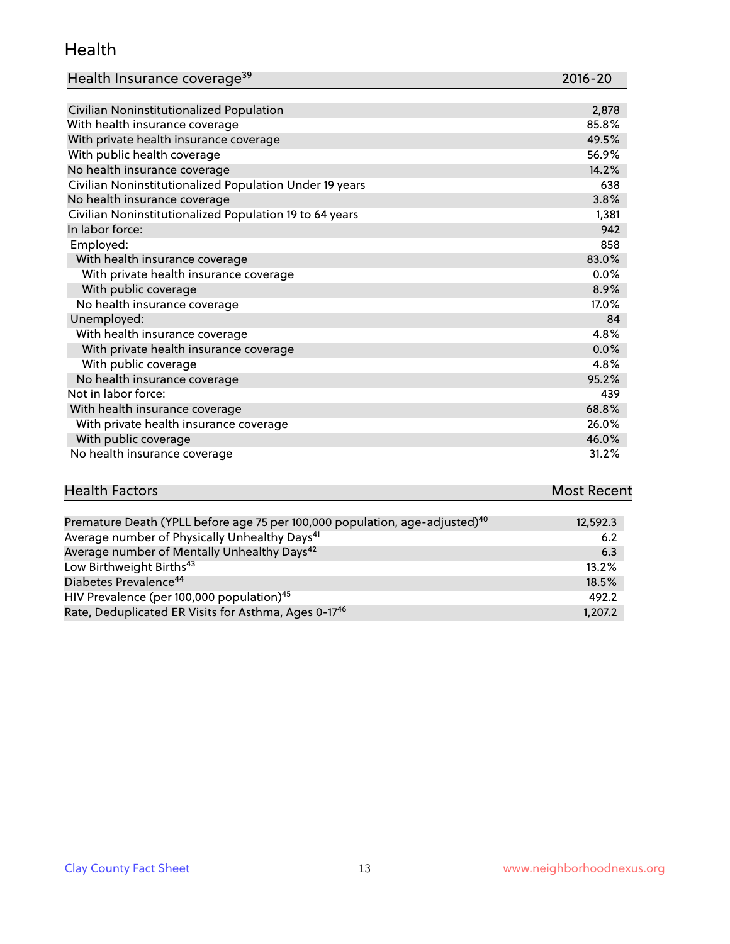#### Health

| Health Insurance coverage <sup>39</sup> | 2016-20 |
|-----------------------------------------|---------|
|-----------------------------------------|---------|

| Civilian Noninstitutionalized Population                | 2,878   |
|---------------------------------------------------------|---------|
| With health insurance coverage                          | 85.8%   |
| With private health insurance coverage                  | 49.5%   |
| With public health coverage                             | 56.9%   |
| No health insurance coverage                            | 14.2%   |
| Civilian Noninstitutionalized Population Under 19 years | 638     |
| No health insurance coverage                            | 3.8%    |
| Civilian Noninstitutionalized Population 19 to 64 years | 1,381   |
| In labor force:                                         | 942     |
| Employed:                                               | 858     |
| With health insurance coverage                          | 83.0%   |
| With private health insurance coverage                  | $0.0\%$ |
| With public coverage                                    | 8.9%    |
| No health insurance coverage                            | 17.0%   |
| Unemployed:                                             | 84      |
| With health insurance coverage                          | 4.8%    |
| With private health insurance coverage                  | 0.0%    |
| With public coverage                                    | 4.8%    |
| No health insurance coverage                            | 95.2%   |
| Not in labor force:                                     | 439     |
| With health insurance coverage                          | 68.8%   |
| With private health insurance coverage                  | 26.0%   |
| With public coverage                                    | 46.0%   |
| No health insurance coverage                            | 31.2%   |

| <b>Health Factors</b> | <b>Most Recent</b> |
|-----------------------|--------------------|
|                       | ________           |

| Premature Death (YPLL before age 75 per 100,000 population, age-adjusted) <sup>40</sup> | 12,592.3 |
|-----------------------------------------------------------------------------------------|----------|
| Average number of Physically Unhealthy Days <sup>41</sup>                               | 6.2      |
| Average number of Mentally Unhealthy Days <sup>42</sup>                                 | 6.3      |
| Low Birthweight Births <sup>43</sup>                                                    | 13.2%    |
| Diabetes Prevalence <sup>44</sup>                                                       | 18.5%    |
| HIV Prevalence (per 100,000 population) <sup>45</sup>                                   | 492.2    |
| Rate, Deduplicated ER Visits for Asthma, Ages 0-17 <sup>46</sup>                        | 1,207.2  |